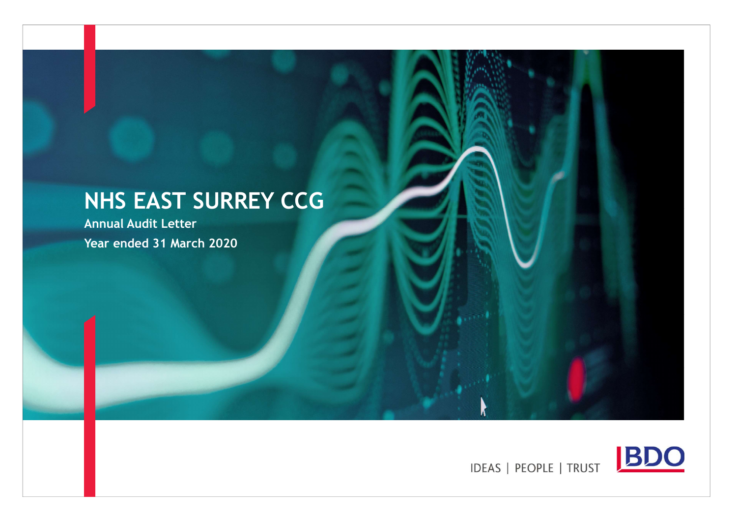# NHS EAST SURREY CCG Annual Audit Letter Year ended 31 March 2020

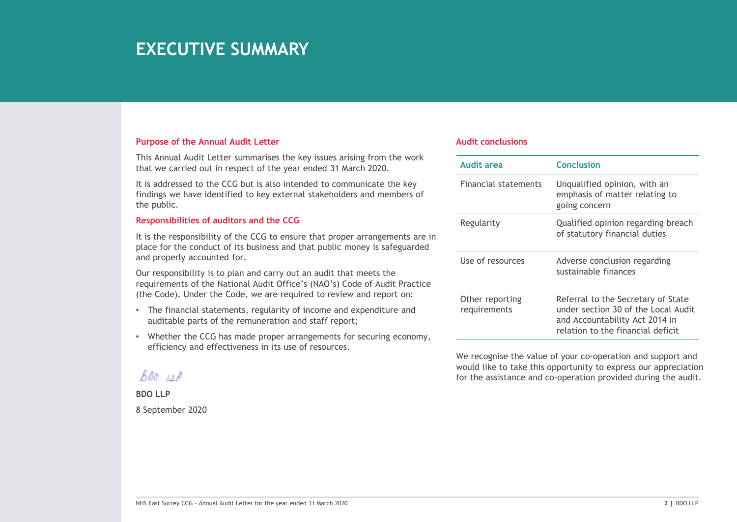# **EXECUTIVE SUMMARY**

## Purpose of the Annual Audit Letter

### Responsibilities of auditors and the CCG

- The financial statements, regularity of income and expenditure and auditable parts of the remuneration and staff report;
- Whether the CCG has made proper arrangements for securing economy, efficiency and effectiveness in its use of resources.

### Audit conclusions

| <b>EXECUTIVE SUMMARY</b><br><b>Purpose of the Annual Audit Letter</b><br>This Annual Audit Letter summarises the key issues arising from the work<br>that we carried out in respect of the year ended 31 March 2020.                                                                                                                                                                        | <b>Audit conclusions</b><br><b>Audit area</b> | <b>Conclusion</b>                                                                                                                                                                                                                     |
|---------------------------------------------------------------------------------------------------------------------------------------------------------------------------------------------------------------------------------------------------------------------------------------------------------------------------------------------------------------------------------------------|-----------------------------------------------|---------------------------------------------------------------------------------------------------------------------------------------------------------------------------------------------------------------------------------------|
| It is addressed to the CCG but is also intended to communicate the key<br>findings we have identified to key external stakeholders and members of<br>the public.                                                                                                                                                                                                                            | <b>Financial statements</b>                   | Unqualified opinion, with an<br>emphasis of matter relating to<br>going concern                                                                                                                                                       |
| Responsibilities of auditors and the CCG<br>It is the responsibility of the CCG to ensure that proper arrangements are in<br>place for the conduct of its business and that public money is safeguarded<br>and properly accounted for.<br>Our responsibility is to plan and carry out an audit that meets the<br>requirements of the National Audit Office's (NAO's) Code of Audit Practice | Regularity                                    | Qualified opinion regarding breach<br>of statutory financial duties                                                                                                                                                                   |
|                                                                                                                                                                                                                                                                                                                                                                                             | Use of resources                              | Adverse conclusion regarding<br>sustainable finances                                                                                                                                                                                  |
| (the Code). Under the Code, we are required to review and report on:<br>The financial statements, regularity of income and expenditure and<br>auditable parts of the remuneration and staff report;                                                                                                                                                                                         | Other reporting<br>requirements               | Referral to the Secretary of State<br>under section 30 of the Local Audit<br>and Accountability Act 2014 in                                                                                                                           |
| Whether the CCG has made proper arrangements for securing economy,<br>efficiency and effectiveness in its use of resources.<br>BOO UP<br><b>BDO LLP</b>                                                                                                                                                                                                                                     |                                               | relation to the financial deficit<br>We recognise the value of your co-operation and support and<br>would like to take this opportunity to express our appreciation<br>for the assistance and co-operation provided during the audit. |
| 8 September 2020                                                                                                                                                                                                                                                                                                                                                                            |                                               |                                                                                                                                                                                                                                       |
| NHS East Surrey CCG - Annual Audit Letter for the year ended 31 March 2020                                                                                                                                                                                                                                                                                                                  |                                               | 2   BDO LLP                                                                                                                                                                                                                           |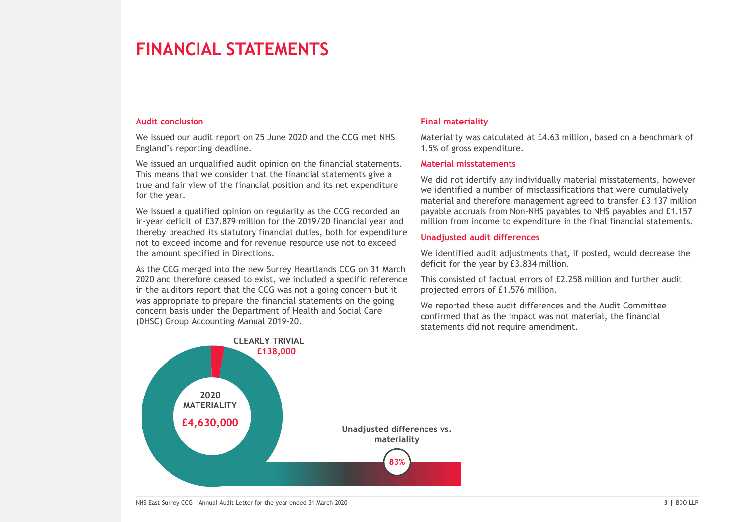### Audit conclusion

We issued our audit report on 25 June 2020 and the CCG met NHS England's reporting deadline.

We issued an unqualified audit opinion on the financial statements. This means that we consider that the financial statements give a true and fair view of the financial position and its net expenditure for the year.

We issued a qualified opinion on regularity as the CCG recorded an in-year deficit of £37.879 million for the 2019/20 financial year and thereby breached its statutory financial duties, both for expenditure not to exceed income and for revenue resource use not to exceed the amount specified in Directions.

As the CCG merged into the new Surrey Heartlands CCG on 31 March 2020 and therefore ceased to exist, we included a specific reference in the auditors report that the CCG was not a going concern but it was appropriate to prepare the financial statements on the going concern basis under the Department of Health and Social Care (DHSC) Group Accounting Manual 2019-20.

# Final materiality

Materiality was calculated at £4.63 million, based on a benchmark of 1.5% of gross expenditure.

### Material misstatements

We did not identify any individually material misstatements, however we identified a number of misclassifications that were cumulatively material and therefore management agreed to transfer £3.137 million payable accruals from Non-NHS payables to NHS payables and £1.157 million from income to expenditure in the final financial statements.

### Unadjusted audit differences

We identified audit adjustments that, if posted, would decrease the deficit for the year by £3.834 million.

This consisted of factual errors of £2.258 million and further audit projected errors of £1.576 million.

We reported these audit differences and the Audit Committee confirmed that as the impact was not material, the financial statements did not require amendment.

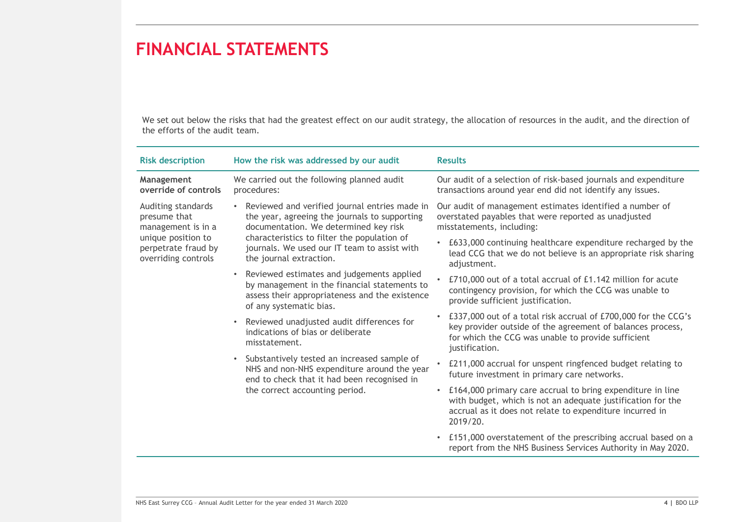|                                                                                                                                                                                                     | <b>FINANCIAL STATEMENTS</b>                                                                                                                                                   |                                                                                                                                                                                                      |
|-----------------------------------------------------------------------------------------------------------------------------------------------------------------------------------------------------|-------------------------------------------------------------------------------------------------------------------------------------------------------------------------------|------------------------------------------------------------------------------------------------------------------------------------------------------------------------------------------------------|
| the efforts of the audit team.                                                                                                                                                                      |                                                                                                                                                                               | We set out below the risks that had the greatest effect on our audit strategy, the allocation of resources in the audit, and the direction of                                                        |
| <b>Risk description</b>                                                                                                                                                                             | How the risk was addressed by our audit                                                                                                                                       | <b>Results</b>                                                                                                                                                                                       |
| Management<br>override of controls                                                                                                                                                                  | We carried out the following planned audit<br>procedures:                                                                                                                     | Our audit of a selection of risk-based journals and expenditure<br>transactions around year end did not identify any issues.                                                                         |
| Reviewed and verified journal entries made in<br>Auditing standards<br>the year, agreeing the journals to supporting<br>presume that<br>documentation. We determined key risk<br>management is in a | Our audit of management estimates identified a number of<br>overstated payables that were reported as unadjusted<br>misstatements, including:                                 |                                                                                                                                                                                                      |
| unique position to<br>perpetrate fraud by<br>overriding controls                                                                                                                                    | characteristics to filter the population of<br>journals. We used our IT team to assist with<br>the journal extraction.                                                        | £633,000 continuing healthcare expenditure recharged by the<br>lead CCG that we do not believe is an appropriate risk sharing<br>adjustment.                                                         |
|                                                                                                                                                                                                     | Reviewed estimates and judgements applied<br>by management in the financial statements to<br>assess their appropriateness and the existence<br>of any systematic bias.        | £710,000 out of a total accrual of £1.142 million for acute<br>contingency provision, for which the CCG was unable to<br>provide sufficient justification.                                           |
|                                                                                                                                                                                                     | Reviewed unadjusted audit differences for<br>indications of bias or deliberate<br>misstatement.                                                                               | £337,000 out of a total risk accrual of £700,000 for the CCG's<br>key provider outside of the agreement of balances process,<br>for which the CCG was unable to provide sufficient<br>justification. |
|                                                                                                                                                                                                     | • Substantively tested an increased sample of<br>NHS and non-NHS expenditure around the year<br>end to check that it had been recognised in<br>the correct accounting period. | £211,000 accrual for unspent ringfenced budget relating to<br>future investment in primary care networks.                                                                                            |
|                                                                                                                                                                                                     |                                                                                                                                                                               | • £164,000 primary care accrual to bring expenditure in line<br>with budget, which is not an adequate justification for the<br>accrual as it does not relate to expenditure incurred in<br>2019/20.  |
|                                                                                                                                                                                                     |                                                                                                                                                                               | • £151,000 overstatement of the prescribing accrual based on a                                                                                                                                       |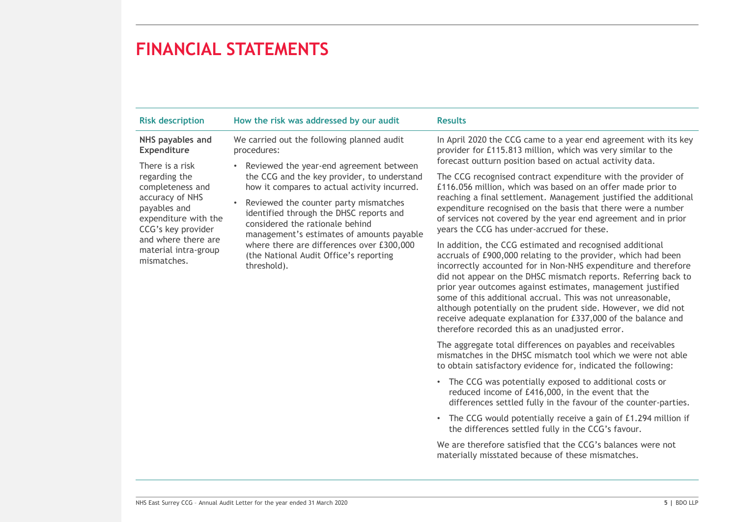|                                                                                                                                                                                                                                        | <b>FINANCIAL STATEMENTS</b>                                                                                                                                                                                                                                                                                                                                                                                                                                                       |                                                                                                                                                                                                                                                                                                                                                                                                                                                                                                                                                                                                                                                                                                                                                                                                                                                                                                                                                                                                                                                                                                                |
|----------------------------------------------------------------------------------------------------------------------------------------------------------------------------------------------------------------------------------------|-----------------------------------------------------------------------------------------------------------------------------------------------------------------------------------------------------------------------------------------------------------------------------------------------------------------------------------------------------------------------------------------------------------------------------------------------------------------------------------|----------------------------------------------------------------------------------------------------------------------------------------------------------------------------------------------------------------------------------------------------------------------------------------------------------------------------------------------------------------------------------------------------------------------------------------------------------------------------------------------------------------------------------------------------------------------------------------------------------------------------------------------------------------------------------------------------------------------------------------------------------------------------------------------------------------------------------------------------------------------------------------------------------------------------------------------------------------------------------------------------------------------------------------------------------------------------------------------------------------|
|                                                                                                                                                                                                                                        |                                                                                                                                                                                                                                                                                                                                                                                                                                                                                   |                                                                                                                                                                                                                                                                                                                                                                                                                                                                                                                                                                                                                                                                                                                                                                                                                                                                                                                                                                                                                                                                                                                |
| <b>Risk description</b>                                                                                                                                                                                                                | How the risk was addressed by our audit                                                                                                                                                                                                                                                                                                                                                                                                                                           | <b>Results</b>                                                                                                                                                                                                                                                                                                                                                                                                                                                                                                                                                                                                                                                                                                                                                                                                                                                                                                                                                                                                                                                                                                 |
| NHS payables and<br>Expenditure<br>There is a risk<br>regarding the<br>completeness and<br>accuracy of NHS<br>payables and<br>expenditure with the<br>CCG's key provider<br>and where there are<br>material intra-group<br>mismatches. | We carried out the following planned audit<br>procedures:<br>• Reviewed the year-end agreement between<br>the CCG and the key provider, to understand<br>how it compares to actual activity incurred.<br>• Reviewed the counter party mismatches<br>identified through the DHSC reports and<br>considered the rationale behind<br>management's estimates of amounts payable<br>where there are differences over £300,000<br>(the National Audit Office's reporting<br>threshold). | In April 2020 the CCG came to a year end agreement with its key<br>provider for £115.813 million, which was very similar to the<br>forecast outturn position based on actual activity data.<br>The CCG recognised contract expenditure with the provider of<br>£116.056 million, which was based on an offer made prior to<br>reaching a final settlement. Management justified the additional<br>expenditure recognised on the basis that there were a number<br>of services not covered by the year end agreement and in prior<br>years the CCG has under-accrued for these.<br>In addition, the CCG estimated and recognised additional<br>accruals of £900,000 relating to the provider, which had been<br>incorrectly accounted for in Non-NHS expenditure and therefore<br>did not appear on the DHSC mismatch reports. Referring back to<br>prior year outcomes against estimates, management justified<br>some of this additional accrual. This was not unreasonable,<br>although potentially on the prudent side. However, we did not<br>receive adequate explanation for £337,000 of the balance and |
|                                                                                                                                                                                                                                        |                                                                                                                                                                                                                                                                                                                                                                                                                                                                                   | therefore recorded this as an unadjusted error.<br>The aggregate total differences on payables and receivables<br>mismatches in the DHSC mismatch tool which we were not able<br>to obtain satisfactory evidence for, indicated the following:<br>• The CCG was potentially exposed to additional costs or<br>reduced income of £416,000, in the event that the<br>differences settled fully in the favour of the counter-parties.                                                                                                                                                                                                                                                                                                                                                                                                                                                                                                                                                                                                                                                                             |
|                                                                                                                                                                                                                                        |                                                                                                                                                                                                                                                                                                                                                                                                                                                                                   | • The CCG would potentially receive a gain of £1.294 million if                                                                                                                                                                                                                                                                                                                                                                                                                                                                                                                                                                                                                                                                                                                                                                                                                                                                                                                                                                                                                                                |
|                                                                                                                                                                                                                                        |                                                                                                                                                                                                                                                                                                                                                                                                                                                                                   | the differences settled fully in the CCG's favour.                                                                                                                                                                                                                                                                                                                                                                                                                                                                                                                                                                                                                                                                                                                                                                                                                                                                                                                                                                                                                                                             |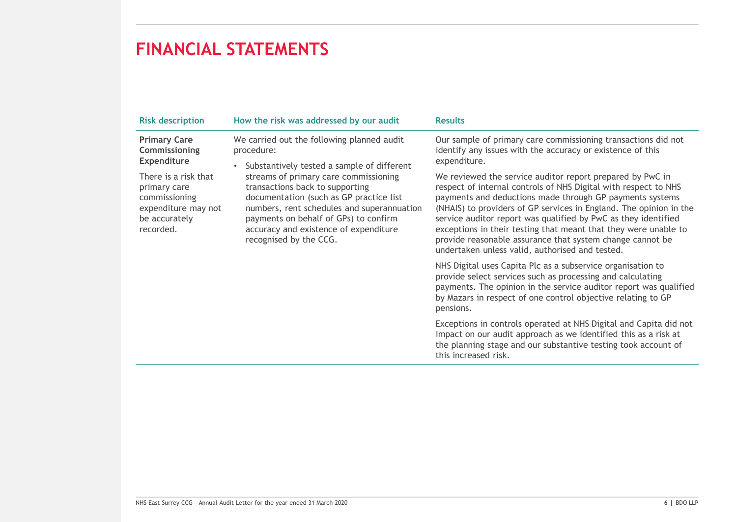| <b>Risk description</b>                                                            | How the risk was addressed by our audit                                                                                                                                                                                              | <b>Results</b>                                                                                                                                                                                                                                                                                                                                                                                                                                         |
|------------------------------------------------------------------------------------|--------------------------------------------------------------------------------------------------------------------------------------------------------------------------------------------------------------------------------------|--------------------------------------------------------------------------------------------------------------------------------------------------------------------------------------------------------------------------------------------------------------------------------------------------------------------------------------------------------------------------------------------------------------------------------------------------------|
| <b>Primary Care</b><br>Commissioning<br>Expenditure<br>There is a risk that        | We carried out the following planned audit<br>procedure:<br>• Substantively tested a sample of different<br>streams of primary care commissioning                                                                                    | Our sample of primary care commissioning transactions did not<br>identify any issues with the accuracy or existence of this<br>expenditure.<br>We reviewed the service auditor report prepared by PwC in                                                                                                                                                                                                                                               |
| primary care<br>commissioning<br>expenditure may not<br>be accurately<br>recorded. | transactions back to supporting<br>documentation (such as GP practice list<br>numbers, rent schedules and superannuation<br>payments on behalf of GPs) to confirm<br>accuracy and existence of expenditure<br>recognised by the CCG. | respect of internal controls of NHS Digital with respect to NHS<br>payments and deductions made through GP payments systems<br>(NHAIS) to providers of GP services in England. The opinion in the<br>service auditor report was qualified by PwC as they identified<br>exceptions in their testing that meant that they were unable to<br>provide reasonable assurance that system change cannot be<br>undertaken unless valid, authorised and tested. |
|                                                                                    |                                                                                                                                                                                                                                      | NHS Digital uses Capita Plc as a subservice organisation to<br>provide select services such as processing and calculating<br>payments. The opinion in the service auditor report was qualified<br>by Mazars in respect of one control objective relating to GP<br>pensions.                                                                                                                                                                            |
|                                                                                    |                                                                                                                                                                                                                                      | Exceptions in controls operated at NHS Digital and Capita did not<br>impact on our audit approach as we identified this as a risk at<br>the planning stage and our substantive testing took account of<br>this increased risk.                                                                                                                                                                                                                         |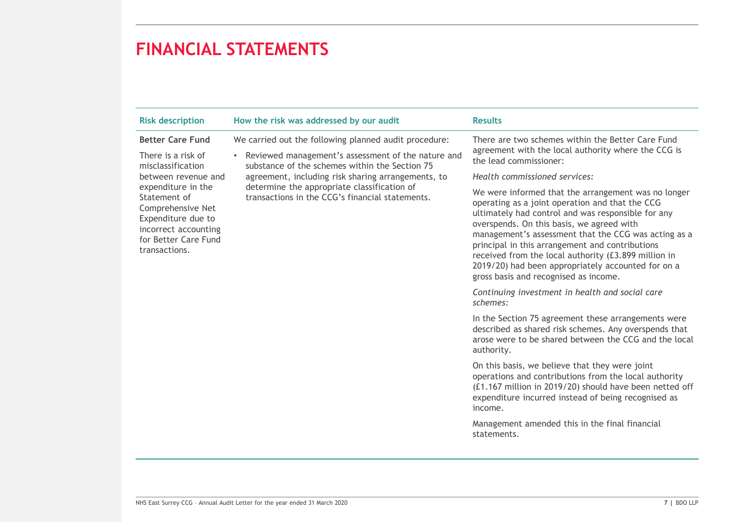|                                                                                                                                                                                                                                                                                                                                                                                                                                                                                    | <b>FINANCIAL STATEMENTS</b>                                                                                                                                                                                                                                                                                                                                                                                                                                                 |                                                                                                                                                                                                                                      |
|------------------------------------------------------------------------------------------------------------------------------------------------------------------------------------------------------------------------------------------------------------------------------------------------------------------------------------------------------------------------------------------------------------------------------------------------------------------------------------|-----------------------------------------------------------------------------------------------------------------------------------------------------------------------------------------------------------------------------------------------------------------------------------------------------------------------------------------------------------------------------------------------------------------------------------------------------------------------------|--------------------------------------------------------------------------------------------------------------------------------------------------------------------------------------------------------------------------------------|
| <b>Risk description</b>                                                                                                                                                                                                                                                                                                                                                                                                                                                            | How the risk was addressed by our audit                                                                                                                                                                                                                                                                                                                                                                                                                                     | <b>Results</b>                                                                                                                                                                                                                       |
| <b>Better Care Fund</b>                                                                                                                                                                                                                                                                                                                                                                                                                                                            | We carried out the following planned audit procedure:                                                                                                                                                                                                                                                                                                                                                                                                                       | There are two schemes within the Better Care Fund                                                                                                                                                                                    |
| • Reviewed management's assessment of the nature and<br>There is a risk of<br>substance of the schemes within the Section 75<br>misclassification<br>agreement, including risk sharing arrangements, to<br>between revenue and<br>determine the appropriate classification of<br>expenditure in the<br>transactions in the CCG's financial statements.<br>Statement of<br>Comprehensive Net<br>Expenditure due to<br>incorrect accounting<br>for Better Care Fund<br>transactions. |                                                                                                                                                                                                                                                                                                                                                                                                                                                                             | agreement with the local authority where the CCG is<br>the lead commissioner:                                                                                                                                                        |
|                                                                                                                                                                                                                                                                                                                                                                                                                                                                                    |                                                                                                                                                                                                                                                                                                                                                                                                                                                                             | Health commissioned services:                                                                                                                                                                                                        |
|                                                                                                                                                                                                                                                                                                                                                                                                                                                                                    | We were informed that the arrangement was no longer<br>operating as a joint operation and that the CCG<br>ultimately had control and was responsible for any<br>overspends. On this basis, we agreed with<br>management's assessment that the CCG was acting as a<br>principal in this arrangement and contributions<br>received from the local authority (£3.899 million in<br>2019/20) had been appropriately accounted for on a<br>gross basis and recognised as income. |                                                                                                                                                                                                                                      |
|                                                                                                                                                                                                                                                                                                                                                                                                                                                                                    |                                                                                                                                                                                                                                                                                                                                                                                                                                                                             | Continuing investment in health and social care<br>schemes:                                                                                                                                                                          |
|                                                                                                                                                                                                                                                                                                                                                                                                                                                                                    | In the Section 75 agreement these arrangements were<br>described as shared risk schemes. Any overspends that<br>arose were to be shared between the CCG and the local<br>authority.                                                                                                                                                                                                                                                                                         |                                                                                                                                                                                                                                      |
|                                                                                                                                                                                                                                                                                                                                                                                                                                                                                    |                                                                                                                                                                                                                                                                                                                                                                                                                                                                             | On this basis, we believe that they were joint<br>operations and contributions from the local authority<br>(£1.167 million in 2019/20) should have been netted off<br>expenditure incurred instead of being recognised as<br>income. |
|                                                                                                                                                                                                                                                                                                                                                                                                                                                                                    |                                                                                                                                                                                                                                                                                                                                                                                                                                                                             | Management amended this in the final financial<br>statements.                                                                                                                                                                        |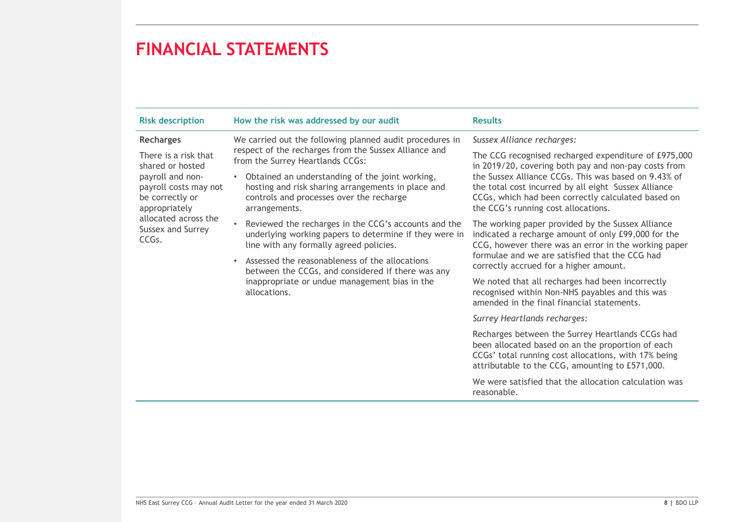| <b>Risk description</b>                                                                                                                                                                                                                                                                                                                                                                   | How the risk was addressed by our audit                                                                                                                                                                                                                           | <b>Results</b>                                                                                                                                                                                                                                                                                                            |
|-------------------------------------------------------------------------------------------------------------------------------------------------------------------------------------------------------------------------------------------------------------------------------------------------------------------------------------------------------------------------------------------|-------------------------------------------------------------------------------------------------------------------------------------------------------------------------------------------------------------------------------------------------------------------|---------------------------------------------------------------------------------------------------------------------------------------------------------------------------------------------------------------------------------------------------------------------------------------------------------------------------|
| <b>Recharges</b>                                                                                                                                                                                                                                                                                                                                                                          | We carried out the following planned audit procedures in                                                                                                                                                                                                          | Sussex Alliance recharges:                                                                                                                                                                                                                                                                                                |
| There is a risk that<br>shared or hosted<br>payroll and non-<br>payroll costs may not<br>be correctly or<br>appropriately                                                                                                                                                                                                                                                                 | respect of the recharges from the Sussex Alliance and<br>from the Surrey Heartlands CCGs:<br>• Obtained an understanding of the joint working,<br>hosting and risk sharing arrangements in place and<br>controls and processes over the recharge<br>arrangements. | The CCG recognised recharged expenditure of £975,000<br>in 2019/20, covering both pay and non-pay costs from<br>the Sussex Alliance CCGs. This was based on 9.43% of<br>the total cost incurred by all eight Sussex Alliance<br>CCGs, which had been correctly calculated based on<br>the CCG's running cost allocations. |
| allocated across the<br>• Reviewed the recharges in the CCG's accounts and the<br>Sussex and Surrey<br>underlying working papers to determine if they were in<br>CCGs.<br>line with any formally agreed policies.<br>Assessed the reasonableness of the allocations<br>between the CCGs, and considered if there was any<br>inappropriate or undue management bias in the<br>allocations. | The working paper provided by the Sussex Alliance<br>indicated a recharge amount of only £99,000 for the<br>CCG, however there was an error in the working paper<br>formulae and we are satisfied that the CCG had                                                |                                                                                                                                                                                                                                                                                                                           |
|                                                                                                                                                                                                                                                                                                                                                                                           | correctly accrued for a higher amount.<br>We noted that all recharges had been incorrectly<br>recognised within Non-NHS payables and this was<br>amended in the final financial statements.                                                                       |                                                                                                                                                                                                                                                                                                                           |
|                                                                                                                                                                                                                                                                                                                                                                                           |                                                                                                                                                                                                                                                                   | Surrey Heartlands recharges:                                                                                                                                                                                                                                                                                              |
|                                                                                                                                                                                                                                                                                                                                                                                           | Recharges between the Surrey Heartlands CCGs had<br>been allocated based on an the proportion of each<br>CCGs' total running cost allocations, with 17% being<br>attributable to the CCG, amounting to £571,000.                                                  |                                                                                                                                                                                                                                                                                                                           |
|                                                                                                                                                                                                                                                                                                                                                                                           |                                                                                                                                                                                                                                                                   | We were satisfied that the allocation calculation was<br>reasonable.                                                                                                                                                                                                                                                      |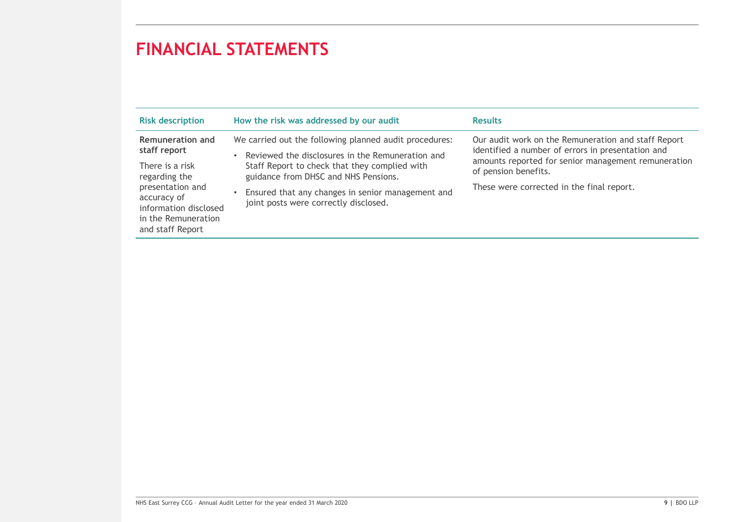|                                                    | <b>FINANCIAL STATEMENTS</b>                                                                                                                             |                                                                                                                            |
|----------------------------------------------------|---------------------------------------------------------------------------------------------------------------------------------------------------------|----------------------------------------------------------------------------------------------------------------------------|
| <b>Risk description</b><br><b>Remuneration and</b> | How the risk was addressed by our audit<br>We carried out the following planned audit procedures:<br>• Reviewed the disclosures in the Remuneration and | <b>Results</b><br>Our audit work on the Remuneration and staff Report<br>identified a number of errors in presentation and |
| staff report                                       |                                                                                                                                                         | amounts reported for senior management remuneration                                                                        |
| There is a risk<br>regarding the                   | Staff Report to check that they complied with<br>guidance from DHSC and NHS Pensions.                                                                   | of pension benefits.                                                                                                       |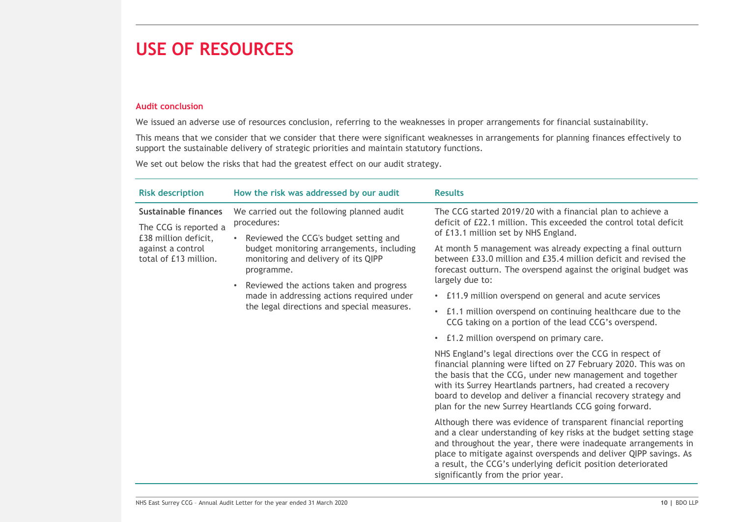# USE OF RESOURCES

# Audit conclusion

| <b>USE OF RESOURCES</b>                                                                                                                                                                                                                                                            |                                                                                                                                                                                                                      |                                                                                                                                                                                                                                                                                                                                                                                     |
|------------------------------------------------------------------------------------------------------------------------------------------------------------------------------------------------------------------------------------------------------------------------------------|----------------------------------------------------------------------------------------------------------------------------------------------------------------------------------------------------------------------|-------------------------------------------------------------------------------------------------------------------------------------------------------------------------------------------------------------------------------------------------------------------------------------------------------------------------------------------------------------------------------------|
| <b>Audit conclusion</b>                                                                                                                                                                                                                                                            |                                                                                                                                                                                                                      |                                                                                                                                                                                                                                                                                                                                                                                     |
|                                                                                                                                                                                                                                                                                    | support the sustainable delivery of strategic priorities and maintain statutory functions.                                                                                                                           | We issued an adverse use of resources conclusion, referring to the weaknesses in proper arrangements for financial sustainability.<br>This means that we consider that we consider that there were significant weaknesses in arrangements for planning finances effectively to                                                                                                      |
|                                                                                                                                                                                                                                                                                    | We set out below the risks that had the greatest effect on our audit strategy.                                                                                                                                       |                                                                                                                                                                                                                                                                                                                                                                                     |
| <b>Risk description</b>                                                                                                                                                                                                                                                            | How the risk was addressed by our audit                                                                                                                                                                              | <b>Results</b>                                                                                                                                                                                                                                                                                                                                                                      |
| Sustainable finances<br>The CCG is reported a<br>£38 million deficit,                                                                                                                                                                                                              | We carried out the following planned audit<br>procedures:<br>• Reviewed the CCG's budget setting and                                                                                                                 | The CCG started 2019/20 with a financial plan to achieve a<br>deficit of £22.1 million. This exceeded the control total deficit<br>of £13.1 million set by NHS England.                                                                                                                                                                                                             |
| budget monitoring arrangements, including<br>against a control<br>total of £13 million.<br>monitoring and delivery of its QIPP<br>programme.<br>Reviewed the actions taken and progress<br>made in addressing actions required under<br>the legal directions and special measures. | At month 5 management was already expecting a final outturn<br>between £33.0 million and £35.4 million deficit and revised the<br>forecast outturn. The overspend against the original budget was<br>largely due to: |                                                                                                                                                                                                                                                                                                                                                                                     |
|                                                                                                                                                                                                                                                                                    | • £11.9 million overspend on general and acute services                                                                                                                                                              |                                                                                                                                                                                                                                                                                                                                                                                     |
|                                                                                                                                                                                                                                                                                    | • £1.1 million overspend on continuing healthcare due to the<br>CCG taking on a portion of the lead CCG's overspend.                                                                                                 |                                                                                                                                                                                                                                                                                                                                                                                     |
|                                                                                                                                                                                                                                                                                    |                                                                                                                                                                                                                      | • £1.2 million overspend on primary care.                                                                                                                                                                                                                                                                                                                                           |
|                                                                                                                                                                                                                                                                                    |                                                                                                                                                                                                                      | NHS England's legal directions over the CCG in respect of<br>financial planning were lifted on 27 February 2020. This was on<br>the basis that the CCG, under new management and together<br>with its Surrey Heartlands partners, had created a recovery<br>board to develop and deliver a financial recovery strategy and<br>plan for the new Surrey Heartlands CCG going forward. |
|                                                                                                                                                                                                                                                                                    |                                                                                                                                                                                                                      | Although there was evidence of transparent financial reporting<br>and a clear understanding of key risks at the budget setting stage<br>and throughout the year, there were inadequate arrangements in<br>place to mitigate against overspends and deliver QIPP savings. As<br>a result, the CCG's underlying deficit position deteriorated<br>significantly from the prior year.   |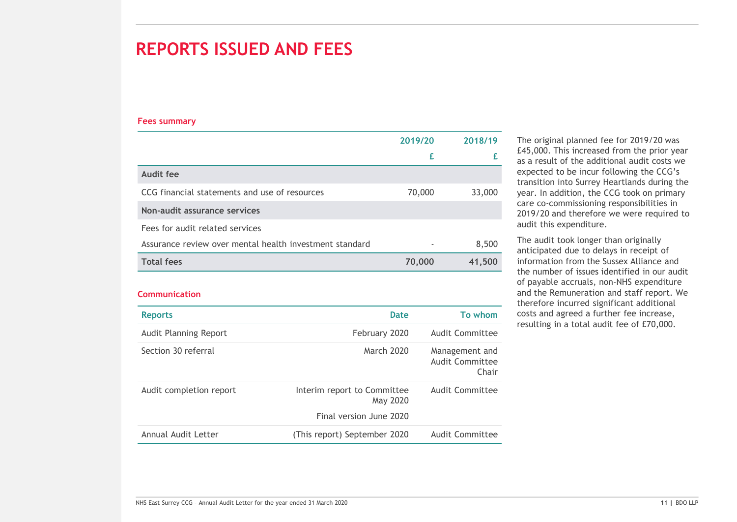# REPORTS ISSUED AND FEES

# Fees summary

| <b>REPORTS ISSUED AND FEES</b>                          |                                         |        |                                                   |                                                                                                                                                                                    |
|---------------------------------------------------------|-----------------------------------------|--------|---------------------------------------------------|------------------------------------------------------------------------------------------------------------------------------------------------------------------------------------|
|                                                         |                                         |        |                                                   |                                                                                                                                                                                    |
| <b>Fees summary</b>                                     |                                         |        |                                                   |                                                                                                                                                                                    |
|                                                         | 2019/20                                 |        | 2018/19                                           | The original planned fee for 2019/20 was                                                                                                                                           |
|                                                         |                                         | £      | £                                                 | £45,000. This increased from the prior year<br>as a result of the additional audit costs we                                                                                        |
| <b>Audit fee</b>                                        |                                         |        |                                                   | expected to be incur following the CCG's                                                                                                                                           |
| CCG financial statements and use of resources           |                                         | 70,000 | 33,000                                            | transition into Surrey Heartlands during the<br>year. In addition, the CCG took on primary                                                                                         |
| Non-audit assurance services                            |                                         |        |                                                   | care co-commissioning responsibilities in<br>2019/20 and therefore we were required to                                                                                             |
| Fees for audit related services                         |                                         |        |                                                   | audit this expenditure.                                                                                                                                                            |
| Assurance review over mental health investment standard |                                         |        | 8,500                                             | The audit took longer than originally<br>anticipated due to delays in receipt of                                                                                                   |
| <b>Total fees</b>                                       |                                         | 70,000 | 41,500                                            | information from the Sussex Alliance and                                                                                                                                           |
| <b>Communication</b>                                    |                                         |        |                                                   | the number of issues identified in our audit<br>of payable accruals, non-NHS expenditure<br>and the Remuneration and staff report. We<br>therefore incurred significant additional |
| <b>Reports</b>                                          | <b>Date</b>                             |        | To whom                                           | costs and agreed a further fee increase,                                                                                                                                           |
| Audit Planning Report                                   | February 2020                           |        | Audit Committee                                   | resulting in a total audit fee of £70,000.                                                                                                                                         |
| Section 30 referral                                     | March 2020                              |        | Management and<br><b>Audit Committee</b><br>Chair |                                                                                                                                                                                    |
| Audit completion report                                 | Interim report to Committee<br>May 2020 |        | <b>Audit Committee</b>                            |                                                                                                                                                                                    |

### **Communication**

| Non-audit assurance services                                               |                                         |                                                   | 2019/20 and therefore we were required to                                                                                          |
|----------------------------------------------------------------------------|-----------------------------------------|---------------------------------------------------|------------------------------------------------------------------------------------------------------------------------------------|
| Fees for audit related services                                            |                                         |                                                   | audit this expenditure.                                                                                                            |
| Assurance review over mental health investment standard                    |                                         | 8,500                                             | The audit took longer than originally<br>anticipated due to delays in receipt of                                                   |
| <b>Total fees</b>                                                          |                                         | 70,000<br>41,500                                  | information from the Sussex Alliance and<br>the number of issues identified in our audit                                           |
| <b>Communication</b>                                                       |                                         |                                                   | of payable accruals, non-NHS expenditure<br>and the Remuneration and staff report. We<br>therefore incurred significant additional |
| <b>Reports</b>                                                             | <b>Date</b>                             | To whom                                           | costs and agreed a further fee increase,                                                                                           |
| Audit Planning Report                                                      | February 2020                           | Audit Committee                                   | resulting in a total audit fee of £70,000.                                                                                         |
| Section 30 referral                                                        | March 2020                              | Management and<br><b>Audit Committee</b><br>Chair |                                                                                                                                    |
| Audit completion report                                                    | Interim report to Committee<br>May 2020 | Audit Committee                                   |                                                                                                                                    |
|                                                                            | Final version June 2020                 |                                                   |                                                                                                                                    |
| Annual Audit Letter                                                        | (This report) September 2020            | <b>Audit Committee</b>                            |                                                                                                                                    |
|                                                                            |                                         |                                                   |                                                                                                                                    |
|                                                                            |                                         |                                                   |                                                                                                                                    |
|                                                                            |                                         |                                                   |                                                                                                                                    |
| NHS East Surrey CCG - Annual Audit Letter for the year ended 31 March 2020 |                                         |                                                   | 11   BDO LLP                                                                                                                       |
|                                                                            |                                         |                                                   |                                                                                                                                    |